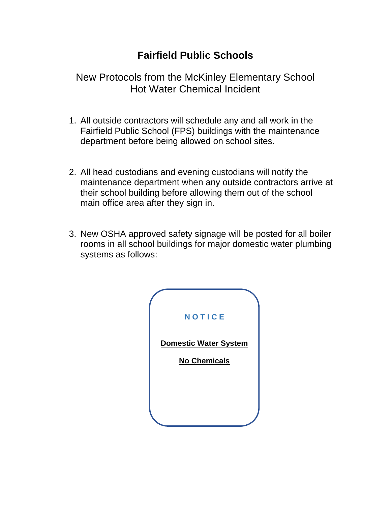## **Fairfield Public Schools**

New Protocols from the McKinley Elementary School Hot Water Chemical Incident

- 1. All outside contractors will schedule any and all work in the Fairfield Public School (FPS) buildings with the maintenance department before being allowed on school sites.
- 2. All head custodians and evening custodians will notify the maintenance department when any outside contractors arrive at their school building before allowing them out of the school main office area after they sign in.
- 3. New OSHA approved safety signage will be posted for all boiler rooms in all school buildings for major domestic water plumbing systems as follows:

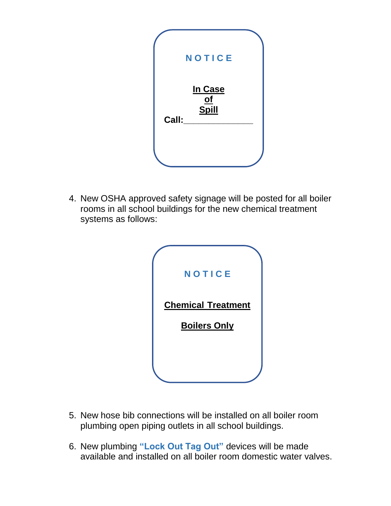| <b>NOTICE</b>                   |  |
|---------------------------------|--|
| In Case<br>of<br>Spill<br>Call: |  |

4. New OSHA approved safety signage will be posted for all boiler rooms in all school buildings for the new chemical treatment systems as follows:

| NOTICE                    |
|---------------------------|
| <b>Chemical Treatment</b> |
| <b>Boilers Only</b>       |
|                           |
|                           |

- 5. New hose bib connections will be installed on all boiler room plumbing open piping outlets in all school buildings.
- 6. New plumbing **"Lock Out Tag Out"** devices will be made available and installed on all boiler room domestic water valves.